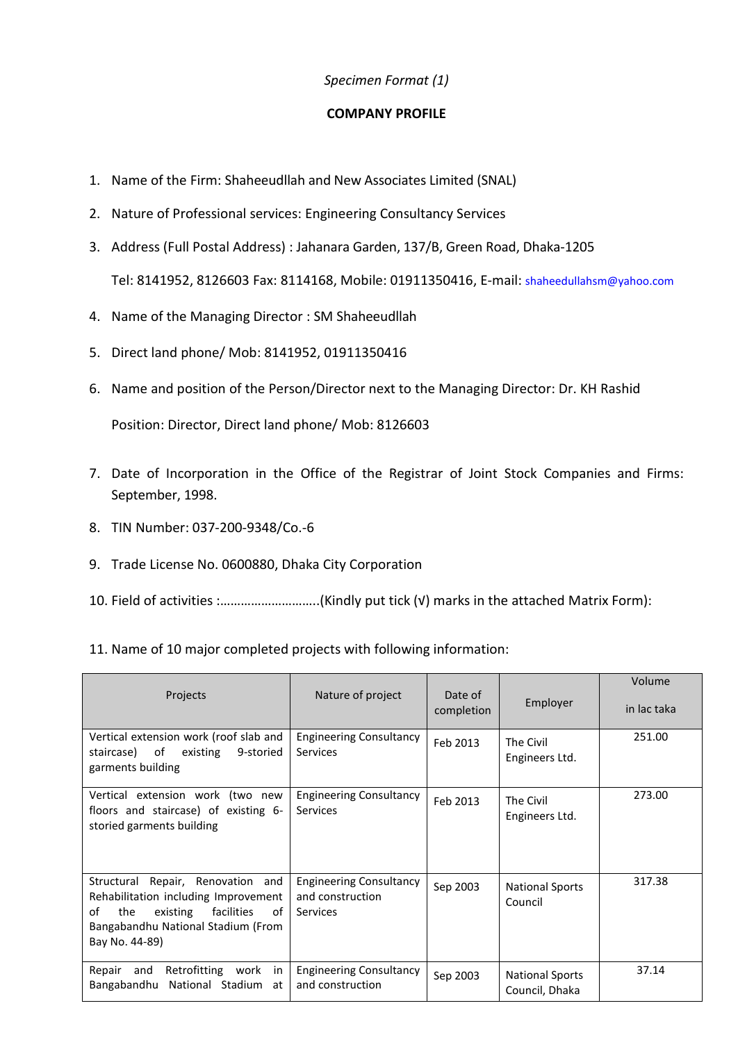## *Specimen Format (1)*

## **COMPANY PROFILE**

- 1. Name of the Firm: Shaheeudllah and New Associates Limited (SNAL)
- 2. Nature of Professional services: Engineering Consultancy Services
- 3. Address (Full Postal Address) : Jahanara Garden, 137/B, Green Road, Dhaka-1205 Tel: 8141952, 8126603 Fax: 8114168, Mobile: 01911350416, E-mail: [shaheedullahsm@yahoo.com](mailto:shaheedullahsm@yahoo.com)
- 4. Name of the Managing Director : SM Shaheeudllah
- 5. Direct land phone/ Mob: 8141952, 01911350416
- 6. Name and position of the Person/Director next to the Managing Director: Dr. KH Rashid

Position: Director, Direct land phone/ Mob: 8126603

- 7. Date of Incorporation in the Office of the Registrar of Joint Stock Companies and Firms: September, 1998.
- 8. TIN Number: 037-200-9348/Co.-6
- 9. Trade License No. 0600880, Dhaka City Corporation
- 10. Field of activities :………………………..(Kindly put tick (√) marks in the attached Matrix Form):
- 11. Name of 10 major completed projects with following information:

| Projects                                                                                                                                                                       | Nature of project                                              | Date of<br>completion | Employer                                 | Volume<br>in lac taka |
|--------------------------------------------------------------------------------------------------------------------------------------------------------------------------------|----------------------------------------------------------------|-----------------------|------------------------------------------|-----------------------|
| Vertical extension work (roof slab and<br>staircase) of<br>existing<br>9-storied<br>garments building                                                                          | <b>Engineering Consultancy</b><br>Services                     | Feb 2013              | The Civil<br>Engineers Ltd.              | 251.00                |
| Vertical extension work (two new<br>floors and staircase) of existing 6-<br>storied garments building                                                                          | <b>Engineering Consultancy</b><br><b>Services</b>              | Feb 2013              | The Civil<br>Engineers Ltd.              | 273.00                |
| Structural Repair, Renovation and<br>Rehabilitation including Improvement<br>οf<br>the<br>existing<br>facilities<br>of<br>Bangabandhu National Stadium (From<br>Bay No. 44-89) | <b>Engineering Consultancy</b><br>and construction<br>Services | Sep 2003              | <b>National Sports</b><br>Council        | 317.38                |
| Retrofitting work<br>Repair and<br>in<br>National Stadium<br>Bangabandhu<br>at                                                                                                 | <b>Engineering Consultancy</b><br>and construction             | Sep 2003              | <b>National Sports</b><br>Council, Dhaka | 37.14                 |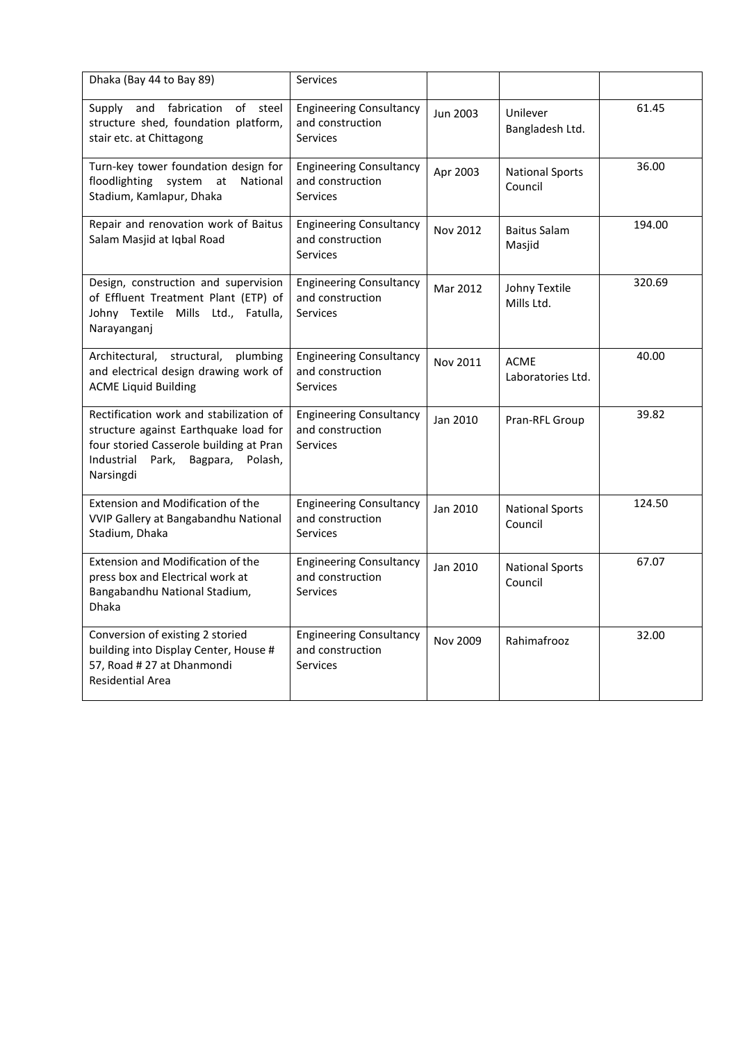| Dhaka (Bay 44 to Bay 89)                                                                                                                                                            | Services                                                              |          |                                   |        |
|-------------------------------------------------------------------------------------------------------------------------------------------------------------------------------------|-----------------------------------------------------------------------|----------|-----------------------------------|--------|
| Supply and fabrication<br>of<br>steel<br>structure shed, foundation platform,<br>stair etc. at Chittagong                                                                           | <b>Engineering Consultancy</b><br>and construction<br><b>Services</b> | Jun 2003 | Unilever<br>Bangladesh Ltd.       | 61.45  |
| Turn-key tower foundation design for<br>floodlighting system at<br>National<br>Stadium, Kamlapur, Dhaka                                                                             | <b>Engineering Consultancy</b><br>and construction<br><b>Services</b> | Apr 2003 | <b>National Sports</b><br>Council | 36.00  |
| Repair and renovation work of Baitus<br>Salam Masjid at Iqbal Road                                                                                                                  | <b>Engineering Consultancy</b><br>and construction<br><b>Services</b> | Nov 2012 | Baitus Salam<br>Masjid            | 194.00 |
| Design, construction and supervision<br>of Effluent Treatment Plant (ETP) of<br>Johny Textile Mills Ltd., Fatulla,<br>Narayanganj                                                   | <b>Engineering Consultancy</b><br>and construction<br><b>Services</b> | Mar 2012 | Johny Textile<br>Mills Ltd.       | 320.69 |
| structural,<br>Architectural,<br>plumbing<br>and electrical design drawing work of<br><b>ACME Liquid Building</b>                                                                   | <b>Engineering Consultancy</b><br>and construction<br><b>Services</b> | Nov 2011 | <b>ACME</b><br>Laboratories Ltd.  | 40.00  |
| Rectification work and stabilization of<br>structure against Earthquake load for<br>four storied Casserole building at Pran<br>Industrial<br>Park,<br>Bagpara, Polash,<br>Narsingdi | <b>Engineering Consultancy</b><br>and construction<br><b>Services</b> | Jan 2010 | Pran-RFL Group                    | 39.82  |
| Extension and Modification of the<br>VVIP Gallery at Bangabandhu National<br>Stadium, Dhaka                                                                                         | <b>Engineering Consultancy</b><br>and construction<br><b>Services</b> | Jan 2010 | <b>National Sports</b><br>Council | 124.50 |
| <b>Extension and Modification of the</b><br>press box and Electrical work at<br>Bangabandhu National Stadium,<br><b>Dhaka</b>                                                       | <b>Engineering Consultancy</b><br>and construction<br><b>Services</b> | Jan 2010 | <b>National Sports</b><br>Council | 67.07  |
| Conversion of existing 2 storied<br>building into Display Center, House #<br>57, Road # 27 at Dhanmondi<br><b>Residential Area</b>                                                  | <b>Engineering Consultancy</b><br>and construction<br><b>Services</b> | Nov 2009 | Rahimafrooz                       | 32.00  |